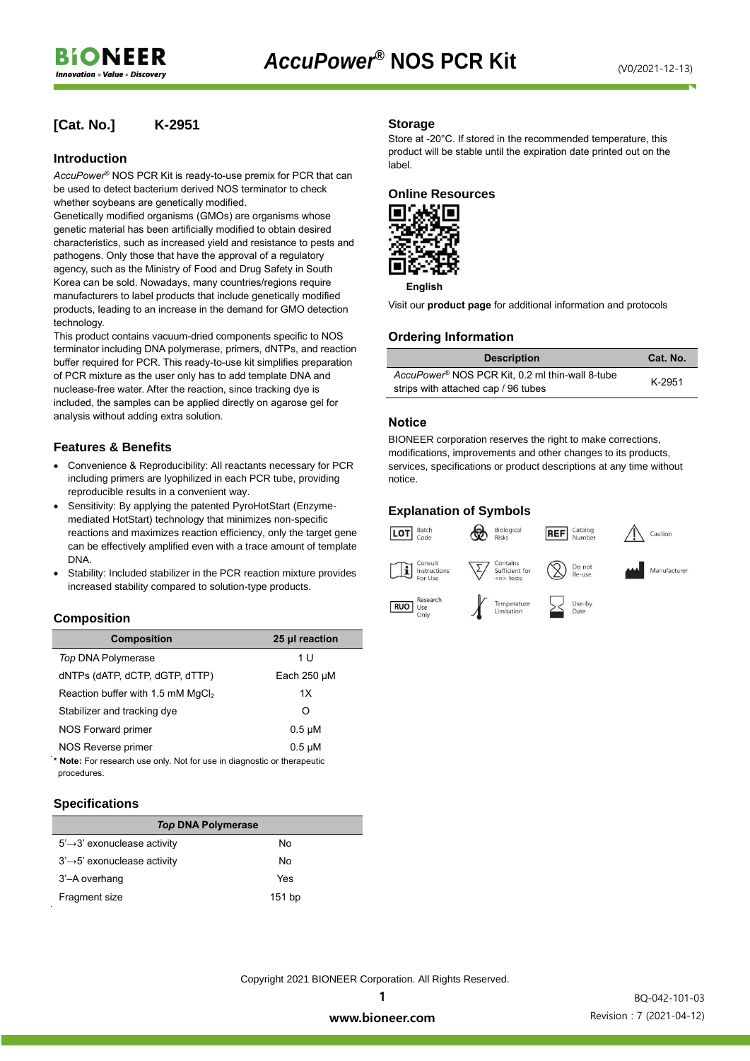## **[Cat. No.] K-2951**

#### **Introduction**

*AccuPower*® NOS PCR Kit is ready-to-use premix for PCR that can be used to detect bacterium derived NOS terminator to check whether soybeans are genetically modified.

Genetically modified organisms (GMOs) are organisms whose genetic material has been artificially modified to obtain desired characteristics, such as increased yield and resistance to pests and pathogens. Only those that have the approval of a regulatory agency, such as the Ministry of Food and Drug Safety in South Korea can be sold. Nowadays, many countries/regions require manufacturers to label products that include genetically modified products, leading to an increase in the demand for GMO detection technology.

This product contains vacuum-dried components specific to NOS terminator including DNA polymerase, primers, dNTPs, and reaction buffer required for PCR. This ready-to-use kit simplifies preparation of PCR mixture as the user only has to add template DNA and nuclease-free water. After the reaction, since tracking dye is included, the samples can be applied directly on agarose gel for analysis without adding extra solution.

## **Features & Benefits**

- Convenience & Reproducibility: All reactants necessary for PCR including primers are lyophilized in each PCR tube, providing reproducible results in a convenient way.
- Sensitivity: By applying the patented PyroHotStart (Enzymemediated HotStart) technology that minimizes non-specific reactions and maximizes reaction efficiency, only the target gene can be effectively amplified even with a trace amount of template DNA.
- Stability: Included stabilizer in the PCR reaction mixture provides increased stability compared to solution-type products.

#### **Composition**

| <b>Composition</b>                            | 25 µl reaction   |
|-----------------------------------------------|------------------|
| Top DNA Polymerase                            | 1 U              |
| dNTPs (dATP, dCTP, dGTP, dTTP)                | Each $250 \mu M$ |
| Reaction buffer with 1.5 mM MgCl <sub>2</sub> | 1X               |
| Stabilizer and tracking dye                   | O                |
| NOS Forward primer                            | $0.5 \mu M$      |
| NOS Reverse primer                            | $0.5 \mu M$      |

**\* Note:** For research use only. Not for use in diagnostic or therapeutic procedures.

#### **Specifications**

| <b>Top DNA Polymerase</b>                |          |  |  |  |  |
|------------------------------------------|----------|--|--|--|--|
| $5' \rightarrow 3'$ exonuclease activity | No       |  |  |  |  |
| $3' \rightarrow 5'$ exonuclease activity | No       |  |  |  |  |
| 3'-A overhang                            | Yes      |  |  |  |  |
| Fragment size                            | $151$ bp |  |  |  |  |

#### **Storage**

Store at -20°C. If stored in the recommended temperature, this product will be stable until the expiration date printed out on the label.

#### **Online Resources**



**English**

Visit our **product page** for additional information and protocols

## **Ordering Information**

| <b>Description</b>                                          | Cat. No. |  |
|-------------------------------------------------------------|----------|--|
| AccuPower <sup>®</sup> NOS PCR Kit, 0.2 ml thin-wall 8-tube | K-2951   |  |
| strips with attached cap / 96 tubes                         |          |  |

## **Notice**

BIONEER corporation reserves the right to make corrections, modifications, improvements and other changes to its products, services, specifications or product descriptions at any time without notice.

## **Explanation of Symbols**



Copyright 2021 BIONEER Corporation. All Rights Reserved.